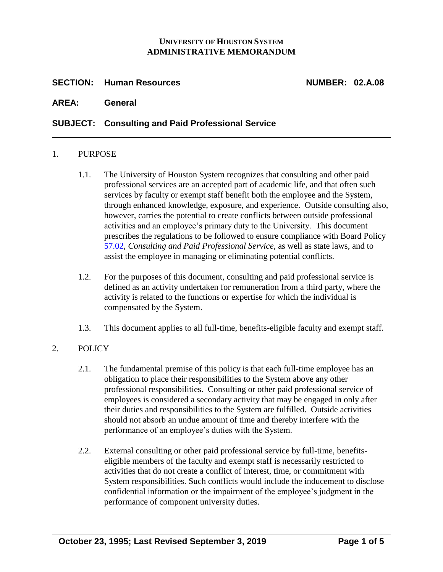### **UNIVERSITY OF HOUSTON SYSTEM ADMINISTRATIVE MEMORANDUM**

## **SECTION: Human Resources NUMBER: 02.A.08**

#### **AREA: General**

### **SUBJECT: Consulting and Paid Professional Service**

#### 1. PURPOSE

- 1.1. The University of Houston System recognizes that consulting and other paid professional services are an accepted part of academic life, and that often such services by faculty or exempt staff benefit both the employee and the System, through enhanced knowledge, exposure, and experience. Outside consulting also, however, carries the potential to create conflicts between outside professional activities and an employee's primary duty to the University. This document prescribes the regulations to be followed to ensure compliance with Board Policy [57.02,](http://www.uhsystem.edu/board-of-regents/policies/index.php#SectionVI) *Consulting and Paid Professional Service,* as well as state laws, and to assist the employee in managing or eliminating potential conflicts.
- 1.2. For the purposes of this document, consulting and paid professional service is defined as an activity undertaken for remuneration from a third party, where the activity is related to the functions or expertise for which the individual is compensated by the System.
- 1.3. This document applies to all full-time, benefits-eligible faculty and exempt staff.

# 2. POLICY

- 2.1. The fundamental premise of this policy is that each full-time employee has an obligation to place their responsibilities to the System above any other professional responsibilities. Consulting or other paid professional service of employees is considered a secondary activity that may be engaged in only after their duties and responsibilities to the System are fulfilled. Outside activities should not absorb an undue amount of time and thereby interfere with the performance of an employee's duties with the System.
- 2.2. External consulting or other paid professional service by full-time, benefitseligible members of the faculty and exempt staff is necessarily restricted to activities that do not create a conflict of interest, time, or commitment with System responsibilities. Such conflicts would include the inducement to disclose confidential information or the impairment of the employee's judgment in the performance of component university duties.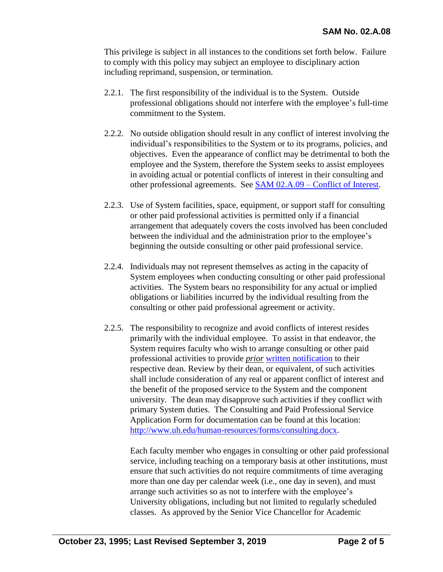This privilege is subject in all instances to the conditions set forth below. Failure to comply with this policy may subject an employee to disciplinary action including reprimand, suspension, or termination.

- 2.2.1. The first responsibility of the individual is to the System. Outside professional obligations should not interfere with the employee's full-time commitment to the System.
- 2.2.2. No outside obligation should result in any conflict of interest involving the individual's responsibilities to the System or to its programs, policies, and objectives. Even the appearance of conflict may be detrimental to both the employee and the System, therefore the System seeks to assist employees in avoiding actual or potential conflicts of interest in their consulting and other professional agreements. See [SAM 02.A.09 –](http://www.uhsystem.edu/compliance-ethics/_docs/sam/02/2a9.pdf) Conflict of Interest.
- 2.2.3. Use of System facilities, space, equipment, or support staff for consulting or other paid professional activities is permitted only if a financial arrangement that adequately covers the costs involved has been concluded between the individual and the administration prior to the employee's beginning the outside consulting or other paid professional service.
- 2.2.4. Individuals may not represent themselves as acting in the capacity of System employees when conducting consulting or other paid professional activities. The System bears no responsibility for any actual or implied obligations or liabilities incurred by the individual resulting from the consulting or other paid professional agreement or activity.
- 2.2.5. The responsibility to recognize and avoid conflicts of interest resides primarily with the individual employee. To assist in that endeavor, the System requires faculty who wish to arrange consulting or other paid professional activities to provide *prior* [written notification](http://www.uh.edu/human-resources/forms/consulting.docx) to their respective dean. Review by their dean, or equivalent, of such activities shall include consideration of any real or apparent conflict of interest and the benefit of the proposed service to the System and the component university. The dean may disapprove such activities if they conflict with primary System duties. The Consulting and Paid Professional Service Application Form for documentation can be found at this location: [http://www.uh.edu/human-resources/forms/consulting.docx.](http://www.uh.edu/human-resources/forms/consulting.docx)

Each faculty member who engages in consulting or other paid professional service, including teaching on a temporary basis at other institutions, must ensure that such activities do not require commitments of time averaging more than one day per calendar week (i.e., one day in seven), and must arrange such activities so as not to interfere with the employee's University obligations, including but not limited to regularly scheduled classes. As approved by the Senior Vice Chancellor for Academic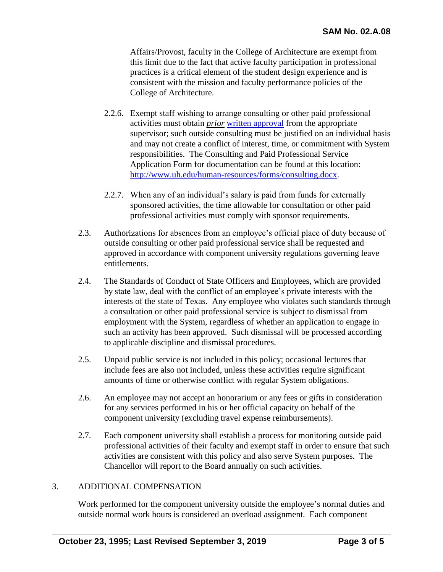Affairs/Provost, faculty in the College of Architecture are exempt from this limit due to the fact that active faculty participation in professional practices is a critical element of the student design experience and is consistent with the mission and faculty performance policies of the College of Architecture.

- 2.2.6. Exempt staff wishing to arrange consulting or other paid professional activities must obtain *prior* [written approval](http://www.uh.edu/human-resources/forms/consulting.docx) from the appropriate supervisor; such outside consulting must be justified on an individual basis and may not create a conflict of interest, time, or commitment with System responsibilities. The Consulting and Paid Professional Service Application Form for documentation can be found at this location: [http://www.uh.edu/human-resources/forms/consulting.docx.](http://www.uh.edu/human-resources/forms/consulting.docx)
- 2.2.7. When any of an individual's salary is paid from funds for externally sponsored activities, the time allowable for consultation or other paid professional activities must comply with sponsor requirements.
- 2.3. Authorizations for absences from an employee's official place of duty because of outside consulting or other paid professional service shall be requested and approved in accordance with component university regulations governing leave entitlements.
- 2.4. The Standards of Conduct of State Officers and Employees, which are provided by state law, deal with the conflict of an employee's private interests with the interests of the state of Texas. Any employee who violates such standards through a consultation or other paid professional service is subject to dismissal from employment with the System, regardless of whether an application to engage in such an activity has been approved. Such dismissal will be processed according to applicable discipline and dismissal procedures.
- 2.5. Unpaid public service is not included in this policy; occasional lectures that include fees are also not included, unless these activities require significant amounts of time or otherwise conflict with regular System obligations.
- 2.6. An employee may not accept an honorarium or any fees or gifts in consideration for an*y* services performed in his or her official capacity on behalf of the component university (excluding travel expense reimbursements).
- 2.7. Each component university shall establish a process for monitoring outside paid professional activities of their faculty and exempt staff in order to ensure that such activities are consistent with this policy and also serve System purposes. The Chancellor will report to the Board annually on such activities.

# 3. ADDITIONAL COMPENSATION

Work performed for the component university outside the employee's normal duties and outside normal work hours is considered an overload assignment. Each component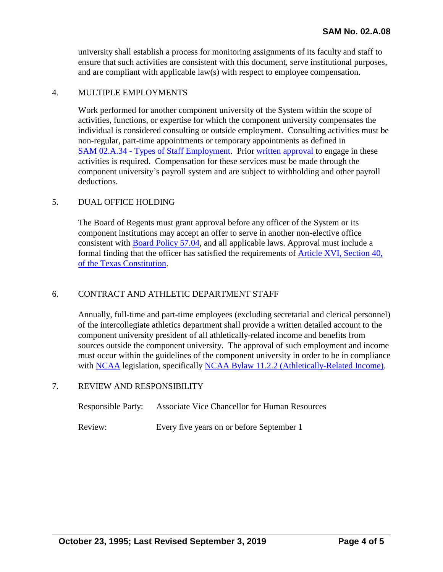university shall establish a process for monitoring assignments of its faculty and staff to ensure that such activities are consistent with this document, serve institutional purposes, and are compliant with applicable law(s) with respect to employee compensation.

### 4. MULTIPLE EMPLOYMENTS

Work performed for another component university of the System within the scope of activities, functions, or expertise for which the component university compensates the individual is considered consulting or outside employment. Consulting activities must be non-regular, part-time appointments or temporary appointments as defined in SAM 02.A.34 - [Types of Staff Employment.](http://www.uhsystem.edu/compliance-ethics/_docs/sam/02/2a34.pdf) Prior [written approval](http://www.uh.edu/human-resources/forms/consulting.docx) to engage in these activities is required. Compensation for these services must be made through the component university's payroll system and are subject to withholding and other payroll deductions.

### 5. DUAL OFFICE HOLDING

The Board of Regents must grant approval before any officer of the System or its component institutions may accept an offer to serve in another non-elective office consistent with [Board Policy 57.04,](http://www.uhsystem.edu/board-of-regents/policies/index.php#SectionVI) and all applicable laws. Approval must include a formal finding that the officer has satisfied the requirements of [Article XVI, Section 40,](https://statutes.capitol.texas.gov/Docs/CN/htm/CN.16.htm)  of [the Texas Constitution.](https://statutes.capitol.texas.gov/Docs/CN/htm/CN.16.htm)

# 6. CONTRACT AND ATHLETIC DEPARTMENT STAFF

Annually, full-time and part-time employees (excluding secretarial and clerical personnel) of the intercollegiate athletics department shall provide a written detailed account to the component university president of all athletically-related income and benefits from sources outside the component university. The approval of such employment and income must occur within the guidelines of the component university in order to be in compliance with [NCAA](http://www.ncaa.org/) legislation, specifically NCAA [Bylaw 11.2.2 \(Athletically-Related Income\).](https://web3.ncaa.org/lsdbi/search/bylawView?id=104310)

#### 7. REVIEW AND RESPONSIBILITY

| <b>Responsible Party:</b> | <b>Associate Vice Chancellor for Human Resources</b> |
|---------------------------|------------------------------------------------------|
| Review:                   | Every five years on or before September 1            |